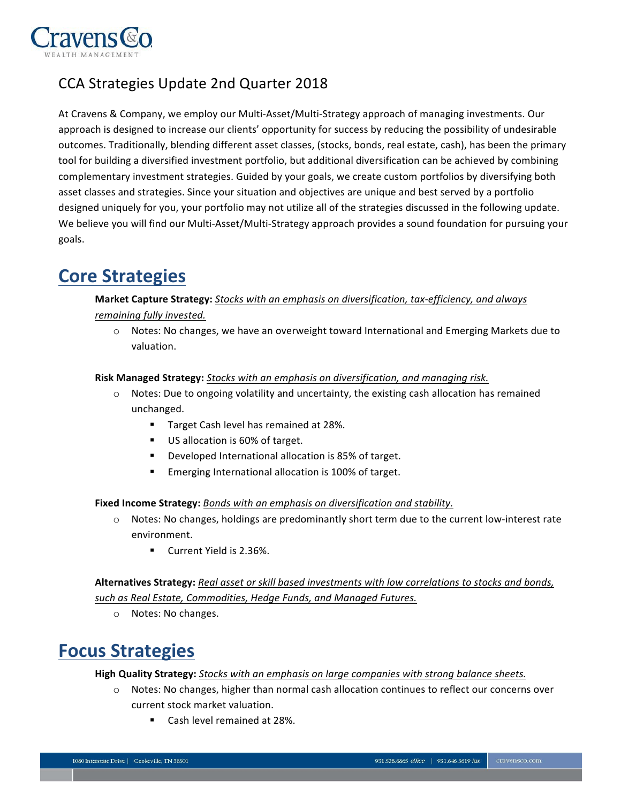

## CCA Strategies Update 2nd Quarter 2018

At Cravens & Company, we employ our Multi-Asset/Multi-Strategy approach of managing investments. Our approach is designed to increase our clients' opportunity for success by reducing the possibility of undesirable outcomes. Traditionally, blending different asset classes, (stocks, bonds, real estate, cash), has been the primary tool for building a diversified investment portfolio, but additional diversification can be achieved by combining complementary investment strategies. Guided by your goals, we create custom portfolios by diversifying both asset classes and strategies. Since your situation and objectives are unique and best served by a portfolio designed uniquely for you, your portfolio may not utilize all of the strategies discussed in the following update. We believe you will find our Multi-Asset/Multi-Strategy approach provides a sound foundation for pursuing your goals.

## **Core Strategies**

### **Market Capture Strategy:** *Stocks with an emphasis on diversification, tax-efficiency, and always*

- *remaining fully invested.*
	- o Notes: No changes, we have an overweight toward International and Emerging Markets due to valuation.

#### **Risk Managed Strategy:** *Stocks with an emphasis on diversification, and managing risk.*

- $\circ$  Notes: Due to ongoing volatility and uncertainty, the existing cash allocation has remained unchanged.
	- **Target Cash level has remained at 28%.**
	- US allocation is 60% of target.
	- ! Developed International allocation is 85% of target.
	- **Emerging International allocation is 100% of target.**

**Fixed Income Strategy:** *Bonds with an emphasis on diversification and stability.*

- o Notes: No changes, holdings are predominantly short term due to the current low-interest rate environment.
	- **Current Yield is 2.36%.**

 **Alternatives Strategy:** *Real asset or skill based investments with low correlations to stocks and bonds, such as Real Estate, Commodities, Hedge Funds, and Managed Futures.*

o Notes: No changes.

# **Focus Strategies**

**High Quality Strategy:** *Stocks with an emphasis on large companies with strong balance sheets.*

- o Notes: No changes, higher than normal cash allocation continues to reflect our concerns over current stock market valuation.
	- ! Cash level remained at 28%.